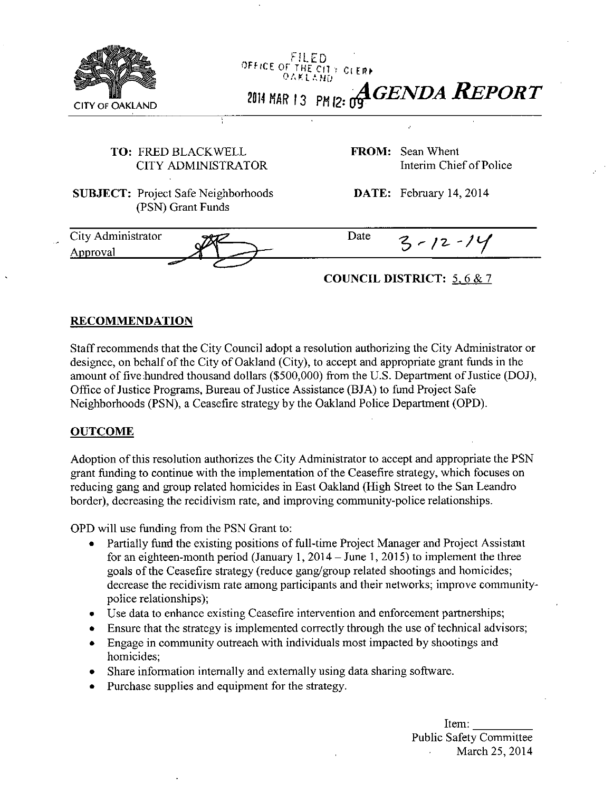

## TO: FRED BLACKWELL CITY ADMINISTRATOR

SUBJECT: Project Safe Neighborhoods (PSN) Grant Funds

FROM: SeanWhent Interim Chief of Police

DATE: February 14, 2014

City Administrator Date  $3 - 12 - 14$ Approval

## **COUNCIL DISTRICT: 5. 6 & 7**

## **RECOMMENDATION**

Staff recommends that the City Council adopt a resolution authorizing the City Administrator or designee, on behalf of the City of Oakland (City), to accept and appropriate grant funds in the amount of five hundred thousand dollars (\$500,000) from the U.S. Department of Justice (DOJ), Office of Justice Programs, Bureau of Justice Assistance (BJA) to fimd Project Safe Neighborhoods (PSN), a Ceasefire strategy by the Oakland Police Department (OPD).

## **OUTCOME**

Adoption of this resolution authorizes the City Administrator to accept and appropriate the PSN grant funding to continue with the implementation of the Ceasefire strategy, which focuses on reducing gang and group related homicides in East Oakland (High Street to the San Leandro border), decreasing the recidivism rate, and improving community-police relationships.

OPD will use funding from the PSN Grant to:

- Partially fund the existing positions of full-time Project Manager and Project Assistant for an eighteen-month period (January 1, 2014 - June 1, 2015) to implement the three goals of the Ceasefire strategy (reduce gang/group related shootings and homicides; decrease the recidivism rate among participants and their networks; improve communitypolice relationships);
- Use data to enhance existing Ceasefire intervention and enforcement partnerships;
- Ensure that the strategy is implemented correctly through the use of technical advisors;
- Engage in community outreach with individuals most impacted by shootings and homicides;
- Share information internally and externally using data sharing software.
- Purchase supplies and equipment for the strategy.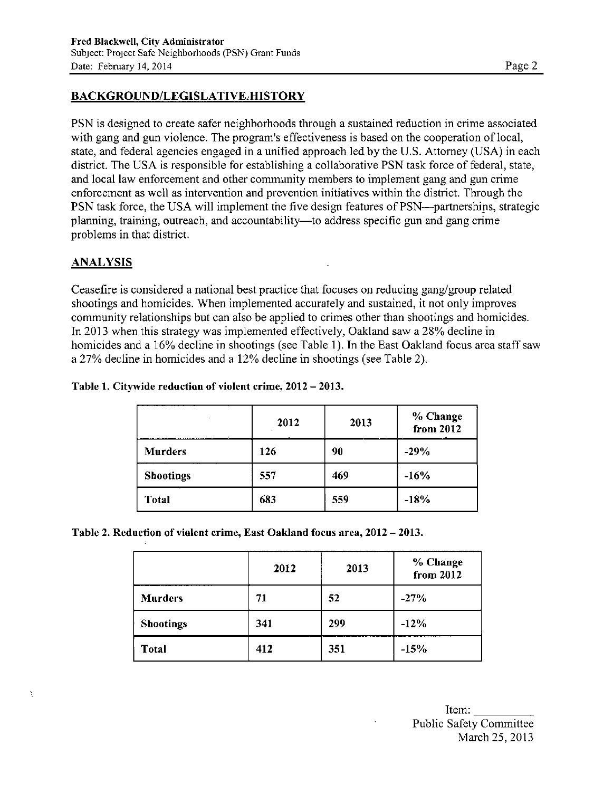## **BACKGROUND/LEGISLATIVE HISTORY**

PSN is designed to create safer neighborhoods through a sustained reduction in crime associated with gang and gun violence. The program's effectiveness is based on the cooperation of local, state, and federal agencies engaged in a unified approach led by the U.S. Attomey (USA) in each district. The USA is responsible for establishing a collaborative PSN task force of federal, state, and local law enforcement and other community members to implement gang and gun crime enforcement as well as intervention and prevention initiatives within the district. Through the PSN task force, the USA will implement the five design features of PSN—partnershins, strategic planning, training, outreach, and accountability—to address specific gun and gang crime problems in that district.

## **ANALYSIS**

À

Ceasefire is considered a national best practice that focuses on reducing gang/group related shootings and homicides. When implemented accurately and sustained, it not only improves community relationships but can also be applied to crimes other than shootings and homicides. In 2013 when this strategy was implemented effectively, Oakland saw a 28% decline in homicides and a 16% decline in shootings (see Table 1). In the East Oakland focus area staff saw a 27% decline in homicides and a 12% decline in shootings (see Table 2).

|                  | 2012 | 2013 | % Change<br>from 2012 |
|------------------|------|------|-----------------------|
| <b>Murders</b>   | 126  | 90   | $-29%$                |
| <b>Shootings</b> | 557  | 469  | $-16%$                |
| <b>Total</b>     | 683  | 559  | $-18%$                |

#### **Table 1. Citywide reduction of violent crime, 2012 - 2013.**

**Table 2. Reduction of violent crime, East Oakland focus area, 2012 - 2013.** 

|                  | 2012 | 2013 | % Change<br>from 2012 |
|------------------|------|------|-----------------------|
| <b>Murders</b>   | 71   | 52   | $-27%$                |
| <b>Shootings</b> | 341  | 299  | $-12%$                |
| <b>Total</b>     | 412  | 351  | $-15%$                |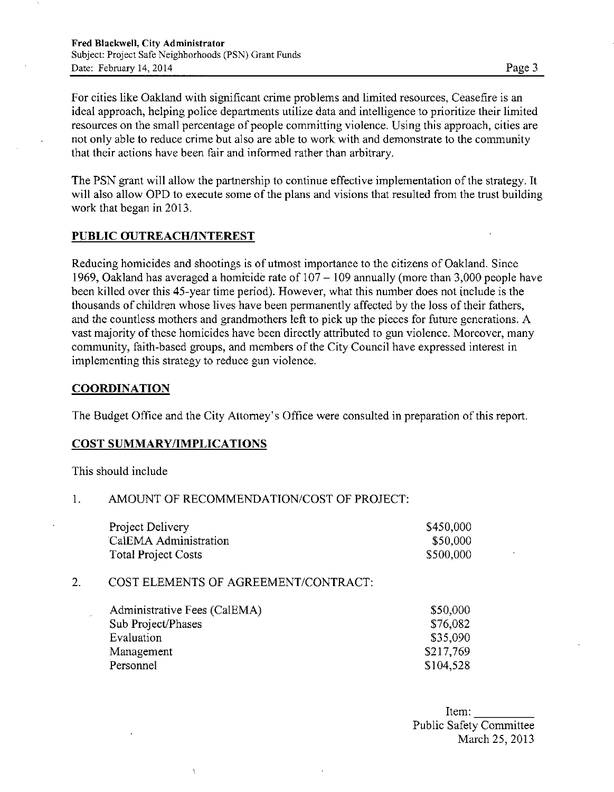For cities like Oakland with significant crime problems and limited resources, Ceasefire is an ideal approach, helping police departments utilize data and intelligence to prioritize their limited resources on the small percentage of people committing violence. Using this approach, cities are not only able to reduce crime but also are able to work with and demonstrate to the community that their actions have been fair and informed rather than arbitrary.

The PSN grant will allow the partnership to continue effective implementation of the strategy. It will also allow OPD to execute some of the plans and visions that resulted from the trust building work that began in 2013.

#### **PUBLIC OUTREACH/INTEREST**

Reducing homicides and shootings is of utmost importance to the citizens of Oakland. Since 1969, Oakland has averaged a homicide rate of  $107 - 109$  annually (more than 3,000 people have been killed over this 45-year time period). However, what this number does not include is the thousands of children whose lives have been permanently affected by the loss of their fathers, and the countless mothers and grandmothers left to pick up the pieces for future generations. A vast majority of these homicides have been directly attributed to gun violence. Moreover, many community, faith-based groups, and members of the City Council have expressed interest in implementing this strategy to reduce gun violence.

#### **COORDINATION**

The Budget Office and the City Attomey's Office were consulted in preparation of this report.

#### COST SUMMARY/IMPLICATIONS

This should include

#### 1. AMOUNT OF RECOMMENDATION/COST OF PROJECT:

| Project Delivery           | \$450,000 |
|----------------------------|-----------|
| CalEMA Administration      | \$50,000  |
| <b>Total Project Costs</b> | \$500,000 |

#### 2. COST ELEMENTS OF AGREEMENT/CONTRACT:

 $\Lambda$ 

| Administrative Fees (CalEMA) | \$50,000  |
|------------------------------|-----------|
| Sub Project/Phases           | \$76,082  |
| Evaluation                   | \$35,090  |
| Management                   | \$217,769 |
| Personnel                    | \$104,528 |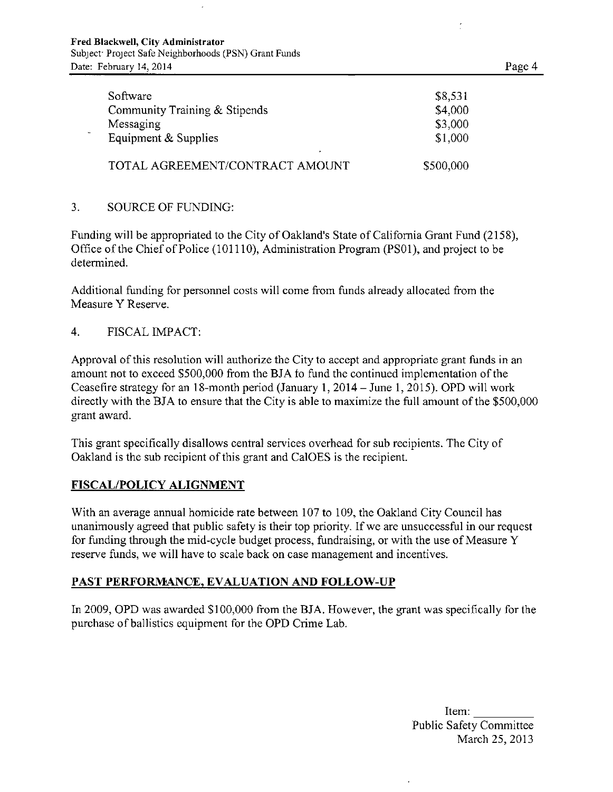| Software                                     | \$8,531            |
|----------------------------------------------|--------------------|
| Community Training & Stipends<br>Messaging   | \$4,000<br>\$3,000 |
| Equipment & Supplies                         | \$1,000            |
| $\bullet$<br>TOTAL AGREEMENT/CONTRACT AMOUNT | \$500,000          |

#### 3. SOURCE OF FUNDING:

Funding will be appropriated to the City of Oakland's State of Califomia Grant Fund (2158), Office of the Chief of Police (101110), Administration Program (PSOl), and project to be determined.

Additional fimding for personnel costs will come from funds already allocated from the Measure Y Reserve.

#### 4. FISCAL IMPACT:

Approval of this resolution will authorize the City to accept and appropriate grant funds in an amount not to exceed \$500,000 from the BJA to fund the continued implementation of the Ceasefire strategy for an 18-month period (January 1, 2014 - June I, 2015). OPD will work directly with the BJA to ensure that the City is able to maximize the full amount of the \$500,000 grant award.

This grant specifically disallows central services overhead for sub recipients. The City of Oakland is the sub recipient of this grant and CalOES is the recipient.

#### **FISCAL/POLICY ALIGNMENT**

With an average annual homicide rate between 107 to 109, the Oakland City Council has unanimously agreed that public safety is their top priority. If we are unsuccessful in our request for fimding through the mid-cycle budget process, flindraising, or with the use of Measure Y reserve funds, we will have to scale back on case management and incentives.

## **PAST PERFORMANCE, EVALUATION AND FOLLOW-UP**

In 2009, OPD was awarded \$100,000 from the BJA. However, the grant was specifically for the purchase of ballistics equipment for the OPD Crime Lab.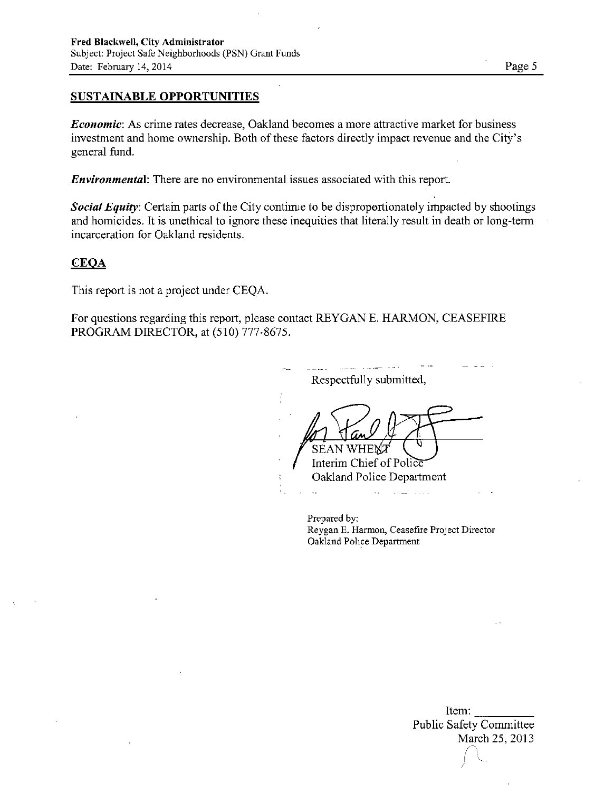## **SUSTAINABLE OPPORTUNITIES**

Economic: As crime rates decrease, Oakland becomes a more attractive market for business investment and home ownership. Both of these factors directly impact revenue and the City's general fund.

Date: February 14, 2014 Page 5

Environmental: There are no environmental issues associated with this report.

Social Equity: Certain parts of the City continue to be disproportionately impacted by shootings and homicides. It is unethical to ignore these inequities that literally result in death or long-term incarceration for Oakland residents.

#### **CEOA**

This report is not a project under CEQA.

For questions regarding this report, please contact REYGAN E. HARMON, CEASEFIRE PROGRAM DIRECTOR, at (510) 777-8675.

Respectfully submitted, SEAN Interim Chief of Police" Oakland Police Department  $\sim$  $\sim 100$ 

Prepared by: Reygan E. Harmon, Ceasefire Project Director Oakland Police Department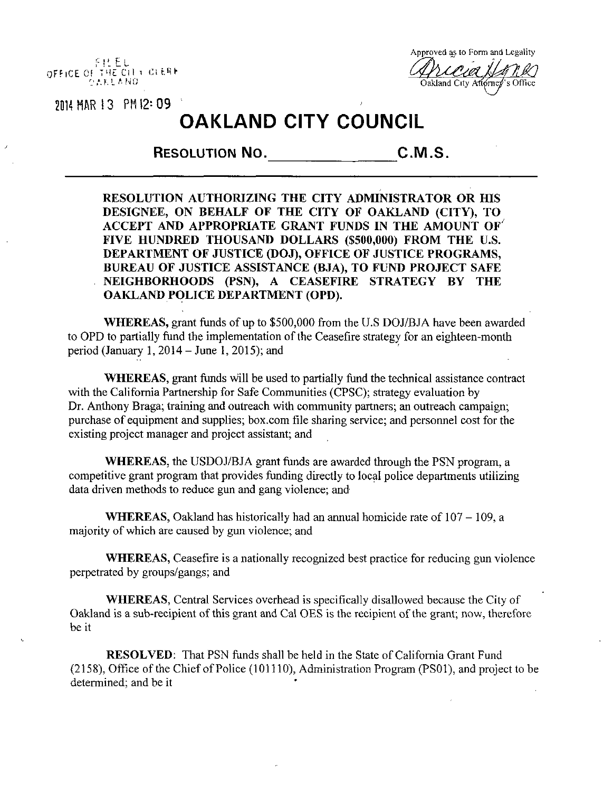f ! L E L OFFICE OF THE CITY CLERK  $0.858\pm0.010$ 

Approved as to Form and Legality Oakland City Attorney

2014 MAR 13 PM 12: 09

# **OAKLAND CITY COUNCIL**

**RESOLUTION NO. C.M.S,** 

**RESOLUTION AUTHORIZING THE CITY ADMINISTRATOR OR HIS DESIGNEE, ON BEHALF OF THE CITY OF OAKLAND (CITY), TO ACCEPT AND APPROPRIATE GRANT FUNDS IN THE AMOUNT OF ' FIVE HUNDRED THOUSAND DOLLARS (\$500,000) FROM THE U.S. DEPARTMENT OF JUSTICE (DOJ), OFFICE OF JUSTICE PROGRAMS, BUREAU OF JUSTICE ASSISTANCE (BJA), TO FUND PROJECT SAFE NEIGHBORHOODS (PSN), A CEASEFIRE STRATEGY BY THE OAKLAND POLICE DEPARTMENT (OPD).** 

WHEREAS, grant fimds of up to \$500,000 from the U.S DOJ/BJA have been awarded to OPD to partially fund the implementation of the Ceasefire strategy for an eighteen-month period (January  $1, 2014 -$  June 1, 2015); and

WHEREAS, grant funds will be used to partially fund the technical assistance contract with the California Partnership for Safe Communities (CPSC); strategy evaluation by Dr. Anthony Braga; training and outreach with community partners; an outreach campaign; purchase of equipment and supplies; box.com file sharing service; and personnel cost for the existing project manager and project assistant; and

WHEREAS, the USDOJ/BJA grant funds are awarded through the PSN program, a competitive grant program that provides funding directly to local police departments utilizing data driven methods to reduce gun and gang violence; and

WHEREAS, Oakland has historically had an annual homicide rate of  $107 - 109$ , a majority of which are caused by gun violence; and

WHEREAS, Ceasefire is a nationally recognized best practice for reducing gun violence perpetrated by groups/gangs; and

WHEREAS, Central Services overhead is specifically disallowed because the City of Oakland is a sub-recipient of this grant and Cal OES is the recipient of the grant; now, therefore be it

RESOLVED: That PSN funds shall be held in the State of California Grant Fund (2158), Office of the Chief of Police (101110), Administration Program (PSOl), and project to be determined; and be it